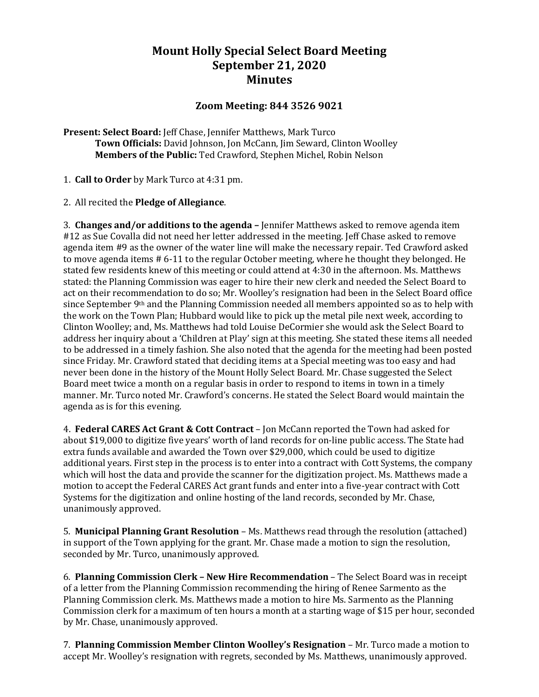## **Mount Holly Special Select Board Meeting September 21, 2020 Minutes**

## **Zoom Meeting: 844 3526 9021**

**Present: Select Board:** Jeff Chase, Jennifer Matthews, Mark Turco **Town Officials:** David Johnson, Jon McCann, Jim Seward, Clinton Woolley **Members of the Public:** Ted Crawford, Stephen Michel, Robin Nelson

1. **Call to Order** by Mark Turco at 4:31 pm.

2. All recited the **Pledge of Allegiance**.

3. **Changes and/or additions to the agenda –** Jennifer Matthews asked to remove agenda item #12 as Sue Covalla did not need her letter addressed in the meeting. Jeff Chase asked to remove agenda item #9 as the owner of the water line will make the necessary repair. Ted Crawford asked to move agenda items # 6-11 to the regular October meeting, where he thought they belonged. He stated few residents knew of this meeting or could attend at 4:30 in the afternoon. Ms. Matthews stated: the Planning Commission was eager to hire their new clerk and needed the Select Board to act on their recommendation to do so; Mr. Woolley's resignation had been in the Select Board office since September 9<sup>th</sup> and the Planning Commission needed all members appointed so as to help with the work on the Town Plan; Hubbard would like to pick up the metal pile next week, according to Clinton Woolley; and, Ms. Matthews had told Louise DeCormier she would ask the Select Board to address her inquiry about a 'Children at Play' sign at this meeting. She stated these items all needed to be addressed in a timely fashion. She also noted that the agenda for the meeting had been posted since Friday. Mr. Crawford stated that deciding items at a Special meeting was too easy and had never been done in the history of the Mount Holly Select Board. Mr. Chase suggested the Select Board meet twice a month on a regular basis in order to respond to items in town in a timely manner. Mr. Turco noted Mr. Crawford's concerns. He stated the Select Board would maintain the agenda as is for this evening.

4. **Federal CARES Act Grant & Cott Contract** – Jon McCann reported the Town had asked for about \$19,000 to digitize five years' worth of land records for on-line public access. The State had extra funds available and awarded the Town over \$29,000, which could be used to digitize additional years. First step in the process is to enter into a contract with Cott Systems, the company which will host the data and provide the scanner for the digitization project. Ms. Matthews made a motion to accept the Federal CARES Act grant funds and enter into a five-year contract with Cott Systems for the digitization and online hosting of the land records, seconded by Mr. Chase, unanimously approved.

5. **Municipal Planning Grant Resolution** – Ms. Matthews read through the resolution (attached) in support of the Town applying for the grant. Mr. Chase made a motion to sign the resolution, seconded by Mr. Turco, unanimously approved.

6. **Planning Commission Clerk – New Hire Recommendation** – The Select Board was in receipt of a letter from the Planning Commission recommending the hiring of Renee Sarmento as the Planning Commission clerk. Ms. Matthews made a motion to hire Ms. Sarmento as the Planning Commission clerk for a maximum of ten hours a month at a starting wage of \$15 per hour, seconded by Mr. Chase, unanimously approved.

7. **Planning Commission Member Clinton Woolley's Resignation** – Mr. Turco made a motion to accept Mr. Woolley's resignation with regrets, seconded by Ms. Matthews, unanimously approved.